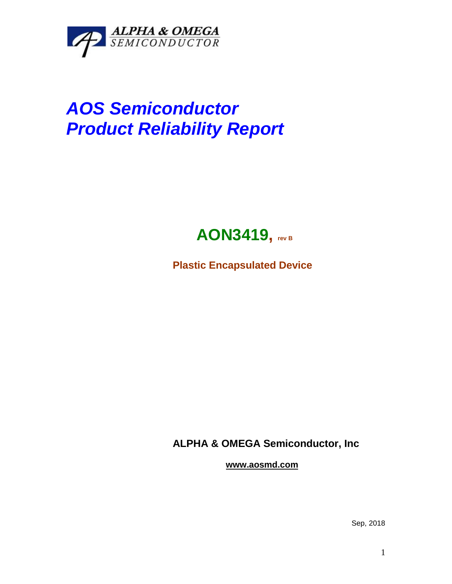

## *AOS Semiconductor Product Reliability Report*



**Plastic Encapsulated Device**

**ALPHA & OMEGA Semiconductor, Inc**

**www.aosmd.com**

Sep, 2018